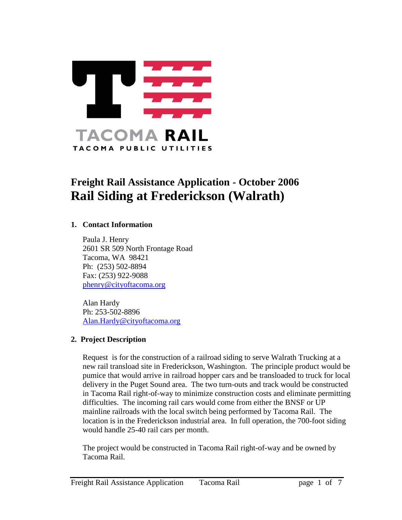

# **Freight Rail Assistance Application - October 2006 Rail Siding at Frederickson (Walrath)**

#### **1. Contact Information**

Paula J. Henry 2601 SR 509 North Frontage Road Tacoma, WA 98421 Ph: (253) 502-8894 Fax: (253) 922-9088 [phenry@cityoftacoma.org](mailto:phenry@cityoftacoma.org)

Alan Hardy Ph: 253-502-8896 [Alan.Hardy@cityoftacoma.org](mailto:Alan.Hardy@cityoftacoma.org)

#### **2. Project Description**

Request is for the construction of a railroad siding to serve Walrath Trucking at a new rail transload site in Frederickson, Washington. The principle product would be pumice that would arrive in railroad hopper cars and be transloaded to truck for local delivery in the Puget Sound area. The two turn-outs and track would be constructed in Tacoma Rail right-of-way to minimize construction costs and eliminate permitting difficulties. The incoming rail cars would come from either the BNSF or UP mainline railroads with the local switch being performed by Tacoma Rail. The location is in the Frederickson industrial area. In full operation, the 700-foot siding would handle 25-40 rail cars per month.

The project would be constructed in Tacoma Rail right-of-way and be owned by Tacoma Rail.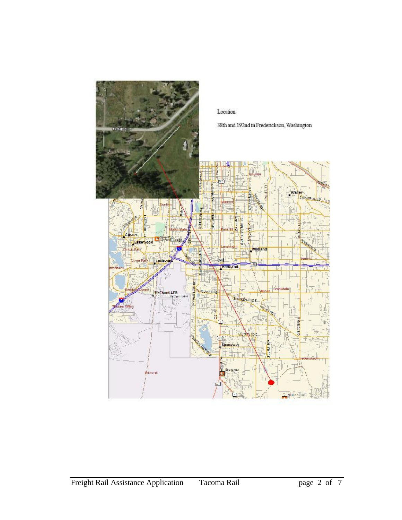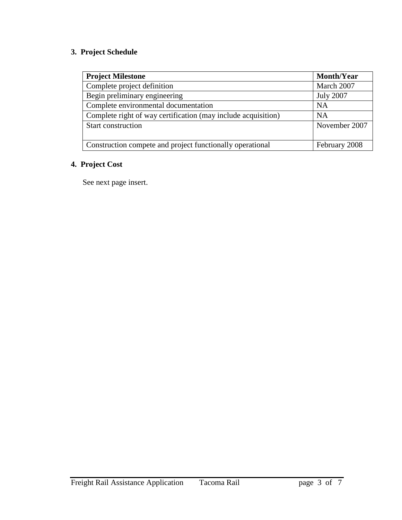### **3. Project Schedule**

| <b>Project Milestone</b>                                      | <b>Month/Year</b> |
|---------------------------------------------------------------|-------------------|
| Complete project definition                                   | March 2007        |
| Begin preliminary engineering                                 | <b>July 2007</b>  |
| Complete environmental documentation                          | <b>NA</b>         |
| Complete right of way certification (may include acquisition) | <b>NA</b>         |
| Start construction                                            | November 2007     |
| Construction compete and project functionally operational     | February 2008     |

## **4. Project Cost**

See next page insert.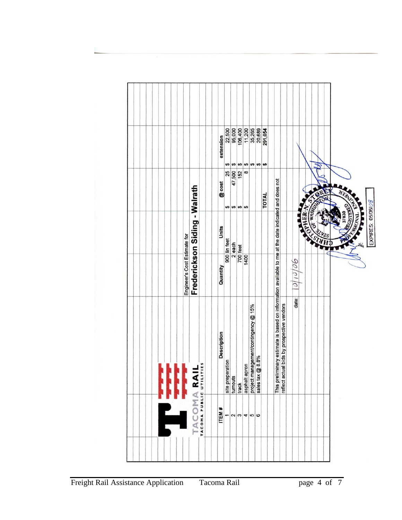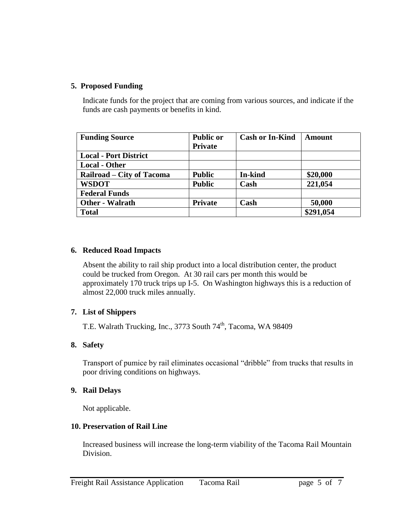#### **5. Proposed Funding**

Indicate funds for the project that are coming from various sources, and indicate if the funds are cash payments or benefits in kind.

| <b>Funding Source</b>        | <b>Public or</b> | <b>Cash or In-Kind</b> | Amount    |
|------------------------------|------------------|------------------------|-----------|
|                              | <b>Private</b>   |                        |           |
| <b>Local - Port District</b> |                  |                        |           |
| <b>Local - Other</b>         |                  |                        |           |
| Railroad – City of Tacoma    | <b>Public</b>    | <b>In-kind</b>         | \$20,000  |
| <b>WSDOT</b>                 | <b>Public</b>    | Cash                   | 221,054   |
| <b>Federal Funds</b>         |                  |                        |           |
| <b>Other - Walrath</b>       | <b>Private</b>   | Cash                   | 50,000    |
| <b>Total</b>                 |                  |                        | \$291,054 |

#### **6. Reduced Road Impacts**

Absent the ability to rail ship product into a local distribution center, the product could be trucked from Oregon. At 30 rail cars per month this would be approximately 170 truck trips up I-5. On Washington highways this is a reduction of almost 22,000 truck miles annually.

#### **7. List of Shippers**

T.E. Walrath Trucking, Inc., 3773 South 74<sup>th</sup>, Tacoma, WA 98409

#### **8. Safety**

Transport of pumice by rail eliminates occasional "dribble" from trucks that results in poor driving conditions on highways.

#### **9. Rail Delays**

Not applicable.

#### **10. Preservation of Rail Line**

Increased business will increase the long-term viability of the Tacoma Rail Mountain Division.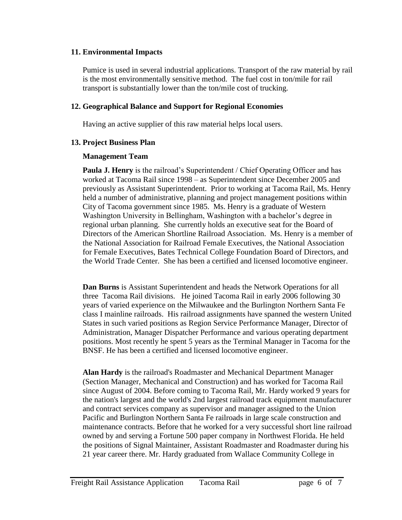#### **11. Environmental Impacts**

Pumice is used in several industrial applications. Transport of the raw material by rail is the most environmentally sensitive method. The fuel cost in ton/mile for rail transport is substantially lower than the ton/mile cost of trucking.

#### **12. Geographical Balance and Support for Regional Economies**

Having an active supplier of this raw material helps local users.

#### **13. Project Business Plan**

#### **Management Team**

**Paula J. Henry** is the railroad's Superintendent / Chief Operating Officer and has worked at Tacoma Rail since 1998 – as Superintendent since December 2005 and previously as Assistant Superintendent. Prior to working at Tacoma Rail, Ms. Henry held a number of administrative, planning and project management positions within City of Tacoma government since 1985. Ms. Henry is a graduate of Western Washington University in Bellingham, Washington with a bachelor's degree in regional urban planning. She currently holds an executive seat for the Board of Directors of the American Shortline Railroad Association. Ms. Henry is a member of the National Association for Railroad Female Executives, the National Association for Female Executives, Bates Technical College Foundation Board of Directors, and the World Trade Center. She has been a certified and licensed locomotive engineer.

**Dan Burns** is Assistant Superintendent and heads the Network Operations for all three Tacoma Rail divisions. He joined Tacoma Rail in early 2006 following 30 years of varied experience on the Milwaukee and the Burlington Northern Santa Fe class I mainline railroads. His railroad assignments have spanned the western United States in such varied positions as Region Service Performance Manager, Director of Administration, Manager Dispatcher Performance and various operating department positions. Most recently he spent 5 years as the Terminal Manager in Tacoma for the BNSF. He has been a certified and licensed locomotive engineer.

**Alan Hardy** is the railroad's Roadmaster and Mechanical Department Manager (Section Manager, Mechanical and Construction) and has worked for Tacoma Rail since August of 2004. Before coming to Tacoma Rail, Mr. Hardy worked 9 years for the nation's largest and the world's 2nd largest railroad track equipment manufacturer and contract services company as supervisor and manager assigned to the Union Pacific and Burlington Northern Santa Fe railroads in large scale construction and maintenance contracts. Before that he worked for a very successful short line railroad owned by and serving a Fortune 500 paper company in Northwest Florida. He held the positions of Signal Maintainer, Assistant Roadmaster and Roadmaster during his 21 year career there. Mr. Hardy graduated from Wallace Community College in